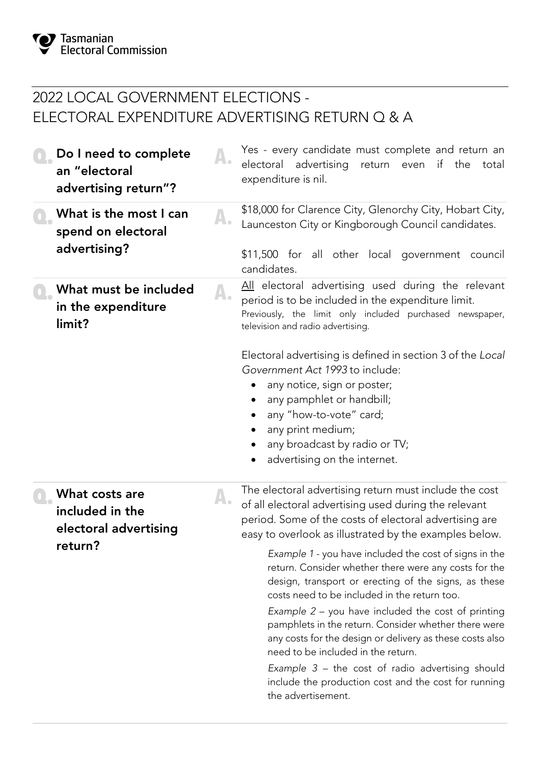## 2022 LOCAL GOVERNMENT ELECTIONS - ELECTORAL EXPENDITURE ADVERTISING RETURN Q & A

| Do I need to complete<br>an "electoral<br>advertising return"? |    | Yes - every candidate must complete and return an<br>electoral advertising return even if the<br>total<br>expenditure is nil.                                                                                                                                                                                                |
|----------------------------------------------------------------|----|------------------------------------------------------------------------------------------------------------------------------------------------------------------------------------------------------------------------------------------------------------------------------------------------------------------------------|
| What is the most I can<br>spend on electoral<br>advertising?   | A. | \$18,000 for Clarence City, Glenorchy City, Hobart City,<br>Launceston City or Kingborough Council candidates.<br>\$11,500 for all other local government council<br>candidates.                                                                                                                                             |
| What must be included<br>in the expenditure<br>limit?          |    | All electoral advertising used during the relevant<br>period is to be included in the expenditure limit.<br>Previously, the limit only included purchased newspaper,<br>television and radio advertising.                                                                                                                    |
|                                                                |    | Electoral advertising is defined in section 3 of the Local<br>Government Act 1993 to include:<br>any notice, sign or poster;<br>any pamphlet or handbill;<br>any "how-to-vote" card;<br>any print medium;<br>any broadcast by radio or TV;<br>advertising on the internet.                                                   |
| What costs are<br>included in the<br>electoral advertising     |    | The electoral advertising return must include the cost<br>of all electoral advertising used during the relevant<br>period. Some of the costs of electoral advertising are<br>easy to overlook as illustrated by the examples below.                                                                                          |
| return?                                                        |    | Example 1 - you have included the cost of signs in the<br>return. Consider whether there were any costs for the<br>design, transport or erecting of the signs, as these<br>costs need to be included in the return too.                                                                                                      |
|                                                                |    | Example $2$ – you have included the cost of printing<br>pamphlets in the return. Consider whether there were<br>any costs for the design or delivery as these costs also<br>need to be included in the return.<br>Example $3$ – the cost of radio advertising should<br>include the production cost and the cost for running |
|                                                                |    | the advertisement.                                                                                                                                                                                                                                                                                                           |